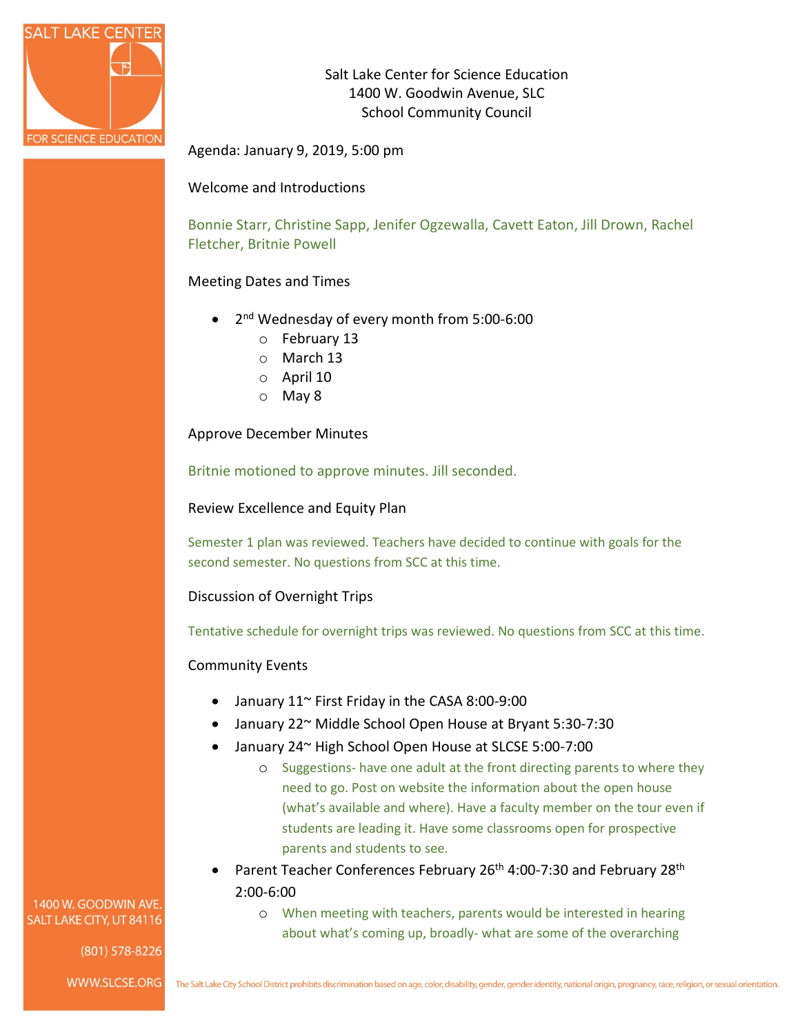

Salt Lake Center for Science Education 1400 W. Goodwin Avenue, SLC School Community Council

Agenda: January 9, 2019, 5:00 pm

## Welcome and Introductions

Bonnie Starr, Christine Sapp, Jenifer Ogzewalla, Cavett Eaton, Jill Drown, Rachel Fletcher, Britnie Powell

## Meeting Dates and Times

- 2<sup>nd</sup> Wednesday of every month from 5:00-6:00
	- o February 13
	- o March 13
	- o April 10
	- o May 8

Approve December Minutes

Britnie motioned to approve minutes. Jill seconded.

Review Excellence and Equity Plan

Semester 1 plan was reviewed. Teachers have decided to continue with goals for the second semester. No questions from SCC at this time.

Discussion of Overnight Trips

Tentative schedule for overnight trips was reviewed. No questions from SCC at this time.

## Community Events

- January 11~ First Friday in the CASA 8:00-9:00
- January 22~ Middle School Open House at Bryant 5:30-7:30
- January 24~ High School Open House at SLCSE 5:00-7:00
	- o Suggestions- have one adult at the front directing parents to where they need to go. Post on website the information about the open house (what's available and where). Have a faculty member on the tour even if students are leading it. Have some classrooms open for prospective parents and students to see.
- Parent Teacher Conferences February 26<sup>th</sup> 4:00-7:30 and February 28<sup>th</sup> 2:00-6:00
	- o When meeting with teachers, parents would be interested in hearing about what's coming up, broadly- what are some of the overarching

1400 W. GOODWIN AVE. SALT LAKE CITY, UT 84116

(801) 578-8226